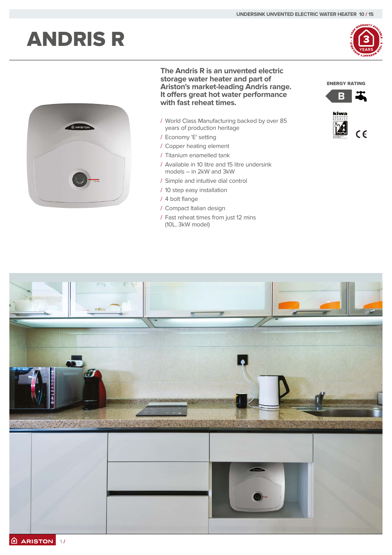# ANDRIS R





### **The Andris R is an unvented electric storage water heater and part of Ariston's market-leading Andris range. It offers great hot water performance with fast reheat times.**

- / World Class Manufacturing backed by over 85 years of production heritage
- / Economy 'E' setting
- / Copper heating element
- / Titanium enamelled tank
- / Available in 10 litre and 15 litre undersink models – in 2kW and 3kW
- / Simple and intuitive dial control
- / 10 step easy installation
- / 4 bolt flange
- / Compact Italian design
- / Fast reheat times from just 12 mins (10L, 3kW model)